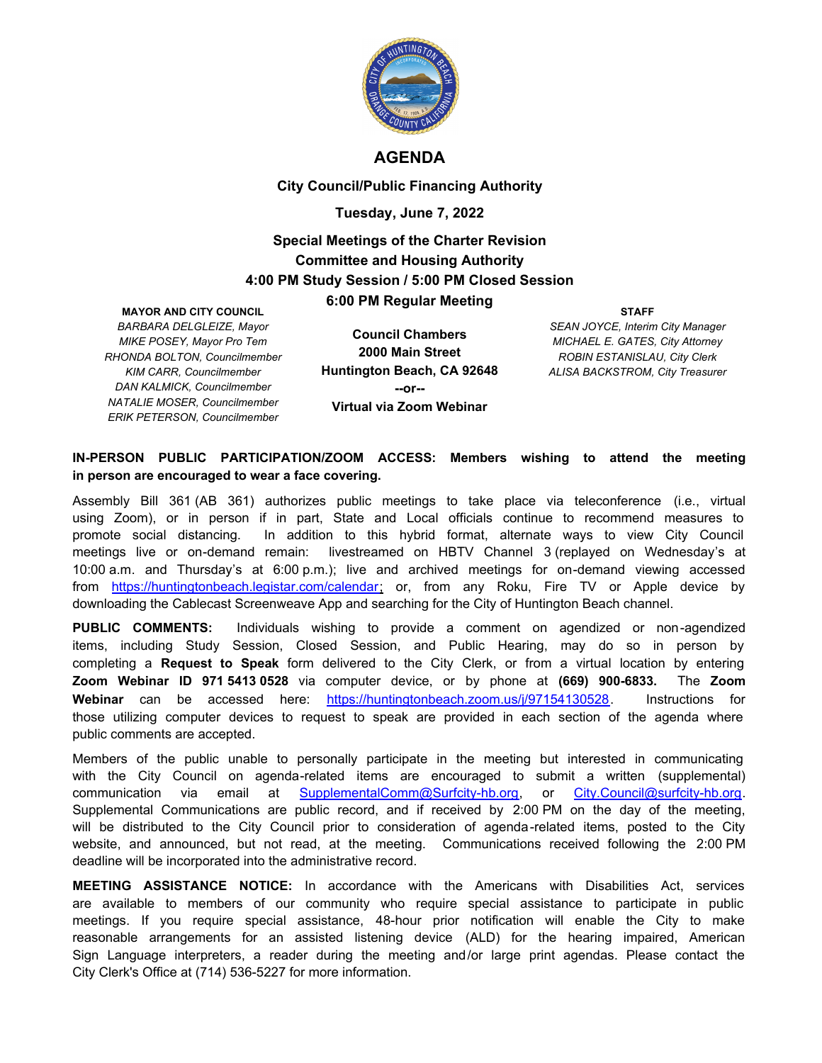

### **AGENDA**

**City Council/Public Financing Authority**

#### **Tuesday, June 7, 2022**

## **Special Meetings of the Charter Revision Committee and Housing Authority 4:00 PM Study Session / 5:00 PM Closed Session 6:00 PM Regular Meeting**

#### **MAYOR AND CITY COUNCIL**

*BARBARA DELGLEIZE, Mayor MIKE POSEY, Mayor Pro Tem RHONDA BOLTON, Councilmember KIM CARR, Councilmember DAN KALMICK, Councilmember NATALIE MOSER, Councilmember ERIK PETERSON, Councilmember*

**Council Chambers 2000 Main Street Huntington Beach, CA 92648 --or-- Virtual via Zoom Webinar**

**STAFF** *SEAN JOYCE, Interim City Manager MICHAEL E. GATES, City Attorney ROBIN ESTANISLAU, City Clerk ALISA BACKSTROM, City Treasurer*

#### **IN-PERSON PUBLIC PARTICIPATION/ZOOM ACCESS: Members wishing to attend the meeting in person are encouraged to wear a face covering.**

Assembly Bill 361 (AB 361) authorizes public meetings to take place via teleconference (i.e., virtual using Zoom), or in person if in part, State and Local officials continue to recommend measures to promote social distancing. In addition to this hybrid format, alternate ways to view City Council meetings live or on-demand remain: livestreamed on HBTV Channel 3 (replayed on Wednesday's at 10:00 a.m. and Thursday's at 6:00 p.m.); live and archived meetings for on-demand viewing accessed from https://huntingtonbeach.legistar.com/calendar; or, from any Roku, Fire TV or Apple device by downloading the Cablecast Screenweave App and searching for the City of Huntington Beach channel.

**PUBLIC COMMENTS:** Individuals wishing to provide a comment on agendized or non-agendized items, including Study Session, Closed Session, and Public Hearing, may do so in person by completing a **Request to Speak** form delivered to the City Clerk, or from a virtual location by entering **Zoom Webinar ID 971 5413 0528** via computer device, or by phone at **(669) 900-6833.** The **Zoom Webinar** can be accessed here: https://huntingtonbeach.zoom.us/j/97154130528. Instructions for those utilizing computer devices to request to speak are provided in each section of the agenda where public comments are accepted.

Members of the public unable to personally participate in the meeting but interested in communicating with the City Council on agenda-related items are encouraged to submit a written (supplemental) communication via email at SupplementalComm@Surfcity-hb.org, or City.Council@surfcity-hb.org. Supplemental Communications are public record, and if received by 2:00 PM on the day of the meeting, will be distributed to the City Council prior to consideration of agenda-related items, posted to the City website, and announced, but not read, at the meeting. Communications received following the 2:00 PM deadline will be incorporated into the administrative record.

**MEETING ASSISTANCE NOTICE:** In accordance with the Americans with Disabilities Act, services are available to members of our community who require special assistance to participate in public meetings. If you require special assistance, 48-hour prior notification will enable the City to make reasonable arrangements for an assisted listening device (ALD) for the hearing impaired, American Sign Language interpreters, a reader during the meeting and/or large print agendas. Please contact the City Clerk's Office at (714) 536-5227 for more information.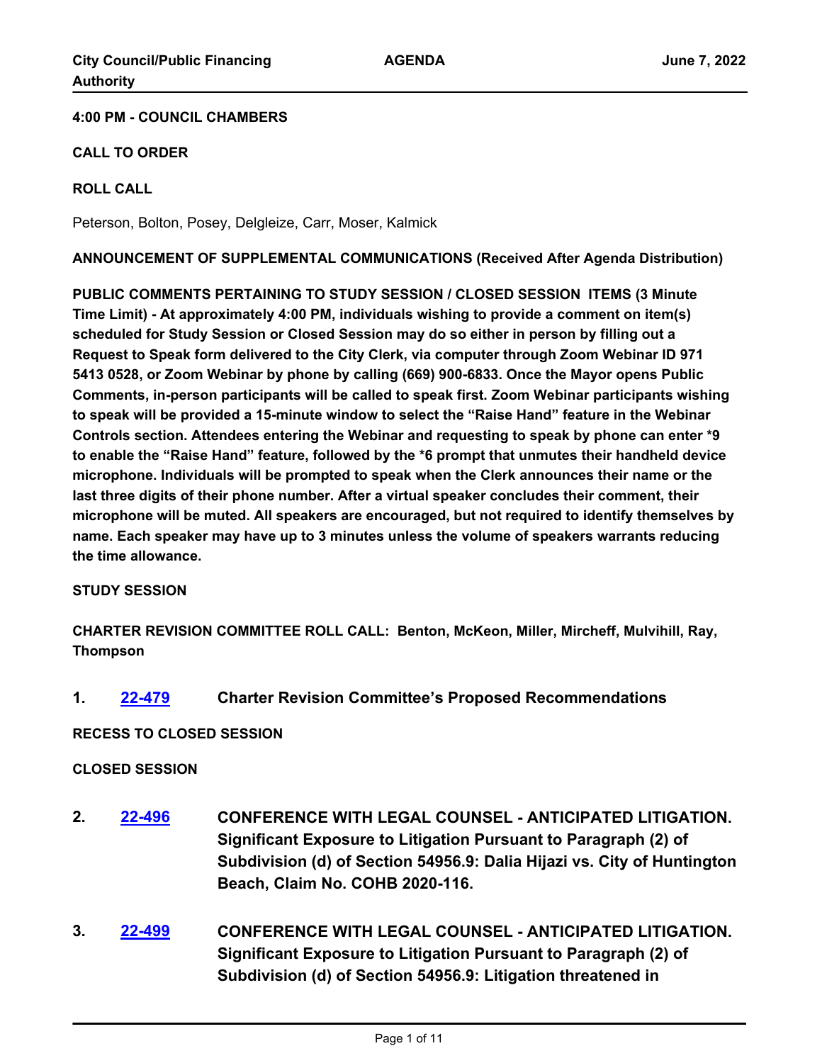## **4:00 PM - COUNCIL CHAMBERS**

## **CALL TO ORDER**

## **ROLL CALL**

Peterson, Bolton, Posey, Delgleize, Carr, Moser, Kalmick

**ANNOUNCEMENT OF SUPPLEMENTAL COMMUNICATIONS (Received After Agenda Distribution)**

**PUBLIC COMMENTS PERTAINING TO STUDY SESSION / CLOSED SESSION ITEMS (3 Minute Time Limit) - At approximately 4:00 PM, individuals wishing to provide a comment on item(s) scheduled for Study Session or Closed Session may do so either in person by filling out a Request to Speak form delivered to the City Clerk, via computer through Zoom Webinar ID 971 5413 0528, or Zoom Webinar by phone by calling (669) 900-6833. Once the Mayor opens Public Comments, in-person participants will be called to speak first. Zoom Webinar participants wishing to speak will be provided a 15-minute window to select the "Raise Hand" feature in the Webinar Controls section. Attendees entering the Webinar and requesting to speak by phone can enter \*9 to enable the "Raise Hand" feature, followed by the \*6 prompt that unmutes their handheld device microphone. Individuals will be prompted to speak when the Clerk announces their name or the last three digits of their phone number. After a virtual speaker concludes their comment, their microphone will be muted. All speakers are encouraged, but not required to identify themselves by name. Each speaker may have up to 3 minutes unless the volume of speakers warrants reducing the time allowance.**

### **STUDY SESSION**

**CHARTER REVISION COMMITTEE ROLL CALL: Benton, McKeon, Miller, Mircheff, Mulvihill, Ray, Thompson**

**1. [22-479](http://huntingtonbeach.legistar.com/gateway.aspx?m=l&id=/matter.aspx?key=5591) Charter Revision Committee's Proposed Recommendations**

**RECESS TO CLOSED SESSION**

### **CLOSED SESSION**

- **2. [22-496](http://huntingtonbeach.legistar.com/gateway.aspx?m=l&id=/matter.aspx?key=5608) CONFERENCE WITH LEGAL COUNSEL ANTICIPATED LITIGATION. Significant Exposure to Litigation Pursuant to Paragraph (2) of Subdivision (d) of Section 54956.9: Dalia Hijazi vs. City of Huntington Beach, Claim No. COHB 2020-116.**
- **3. [22-499](http://huntingtonbeach.legistar.com/gateway.aspx?m=l&id=/matter.aspx?key=5611) CONFERENCE WITH LEGAL COUNSEL ANTICIPATED LITIGATION. Significant Exposure to Litigation Pursuant to Paragraph (2) of Subdivision (d) of Section 54956.9: Litigation threatened in**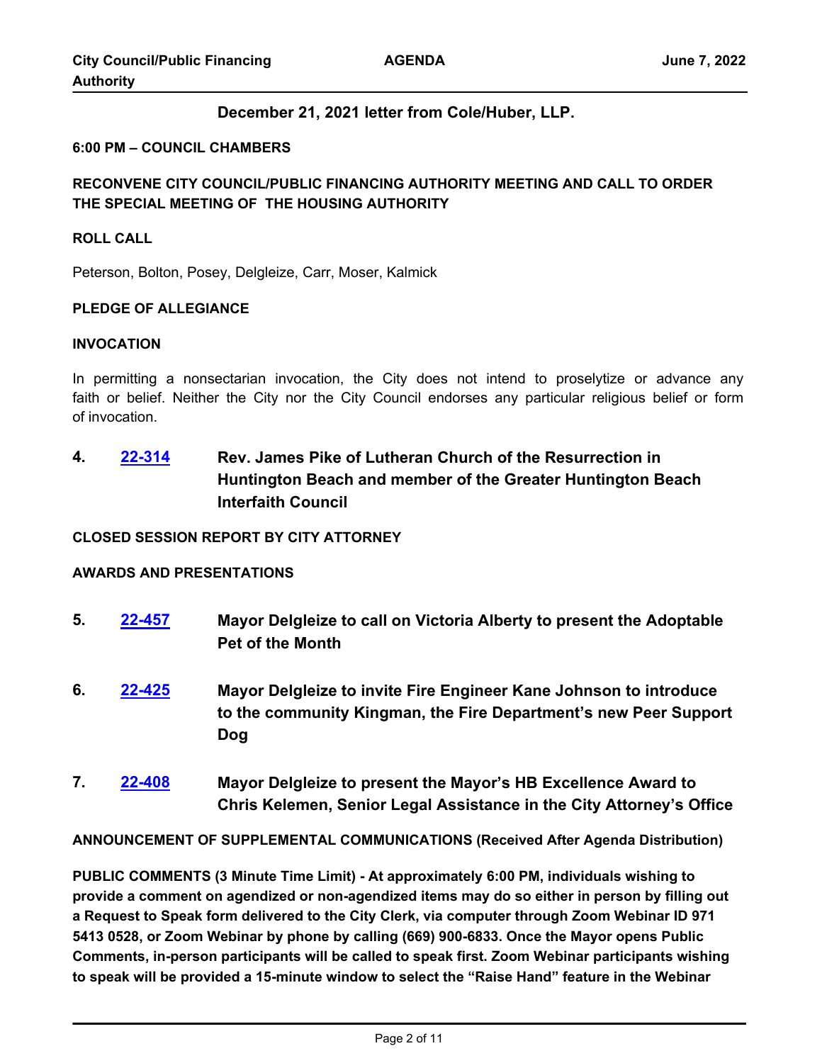### **December 21, 2021 letter from Cole/Huber, LLP.**

#### **6:00 PM – COUNCIL CHAMBERS**

## **RECONVENE CITY COUNCIL/PUBLIC FINANCING AUTHORITY MEETING AND CALL TO ORDER THE SPECIAL MEETING OF THE HOUSING AUTHORITY**

#### **ROLL CALL**

Peterson, Bolton, Posey, Delgleize, Carr, Moser, Kalmick

#### **PLEDGE OF ALLEGIANCE**

#### **INVOCATION**

In permitting a nonsectarian invocation, the City does not intend to proselytize or advance any faith or belief. Neither the City nor the City Council endorses any particular religious belief or form of invocation.

**4. [22-314](http://huntingtonbeach.legistar.com/gateway.aspx?m=l&id=/matter.aspx?key=5426) Rev. James Pike of Lutheran Church of the Resurrection in Huntington Beach and member of the Greater Huntington Beach Interfaith Council**

#### **CLOSED SESSION REPORT BY CITY ATTORNEY**

#### **AWARDS AND PRESENTATIONS**

- **5. [22-457](http://huntingtonbeach.legistar.com/gateway.aspx?m=l&id=/matter.aspx?key=5569) Mayor Delgleize to call on Victoria Alberty to present the Adoptable Pet of the Month**
- **6. [22-425](http://huntingtonbeach.legistar.com/gateway.aspx?m=l&id=/matter.aspx?key=5537) Mayor Delgleize to invite Fire Engineer Kane Johnson to introduce to the community Kingman, the Fire Department's new Peer Support Dog**
- **7. [22-408](http://huntingtonbeach.legistar.com/gateway.aspx?m=l&id=/matter.aspx?key=5520) Mayor Delgleize to present the Mayor's HB Excellence Award to Chris Kelemen, Senior Legal Assistance in the City Attorney's Office**

**ANNOUNCEMENT OF SUPPLEMENTAL COMMUNICATIONS (Received After Agenda Distribution)**

**PUBLIC COMMENTS (3 Minute Time Limit) - At approximately 6:00 PM, individuals wishing to provide a comment on agendized or non-agendized items may do so either in person by filling out a Request to Speak form delivered to the City Clerk, via computer through Zoom Webinar ID 971 5413 0528, or Zoom Webinar by phone by calling (669) 900-6833. Once the Mayor opens Public Comments, in-person participants will be called to speak first. Zoom Webinar participants wishing to speak will be provided a 15-minute window to select the "Raise Hand" feature in the Webinar**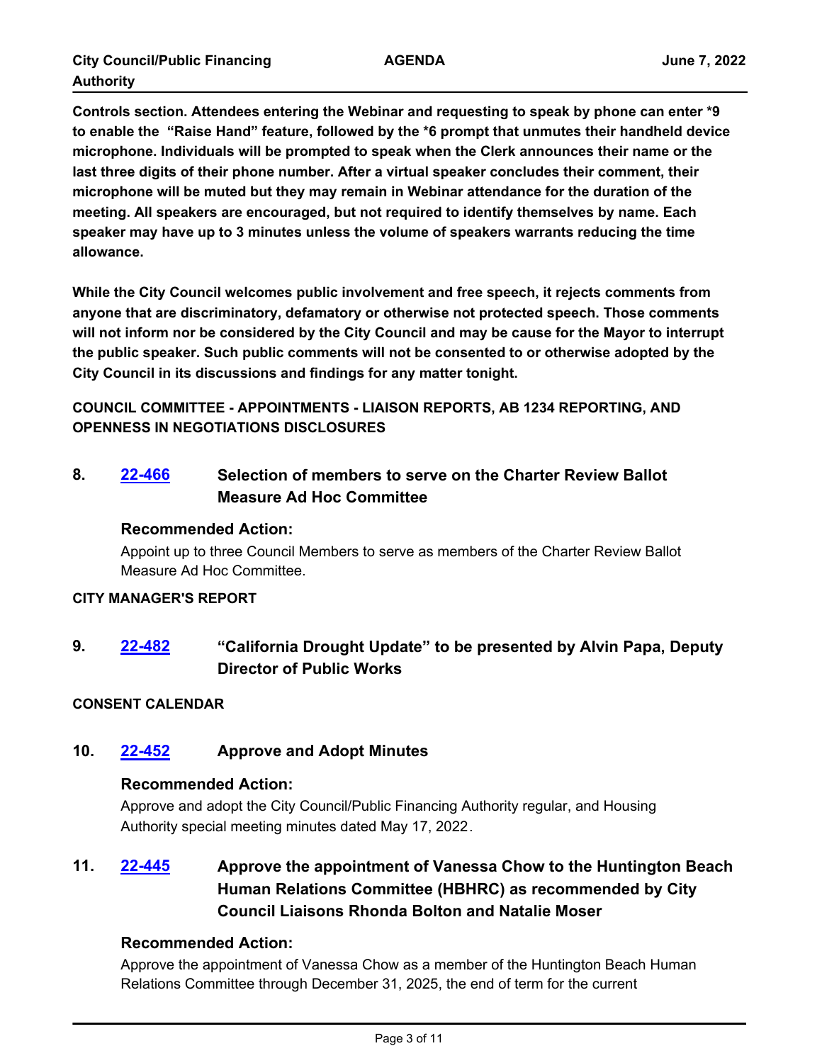**Controls section. Attendees entering the Webinar and requesting to speak by phone can enter \*9 to enable the "Raise Hand" feature, followed by the \*6 prompt that unmutes their handheld device microphone. Individuals will be prompted to speak when the Clerk announces their name or the last three digits of their phone number. After a virtual speaker concludes their comment, their microphone will be muted but they may remain in Webinar attendance for the duration of the meeting. All speakers are encouraged, but not required to identify themselves by name. Each speaker may have up to 3 minutes unless the volume of speakers warrants reducing the time allowance.**

**While the City Council welcomes public involvement and free speech, it rejects comments from anyone that are discriminatory, defamatory or otherwise not protected speech. Those comments will not inform nor be considered by the City Council and may be cause for the Mayor to interrupt the public speaker. Such public comments will not be consented to or otherwise adopted by the City Council in its discussions and findings for any matter tonight.**

**COUNCIL COMMITTEE - APPOINTMENTS - LIAISON REPORTS, AB 1234 REPORTING, AND OPENNESS IN NEGOTIATIONS DISCLOSURES**

# **8. [22-466](http://huntingtonbeach.legistar.com/gateway.aspx?m=l&id=/matter.aspx?key=5578) Selection of members to serve on the Charter Review Ballot Measure Ad Hoc Committee**

## **Recommended Action:**

Appoint up to three Council Members to serve as members of the Charter Review Ballot Measure Ad Hoc Committee.

### **CITY MANAGER'S REPORT**

**9. [22-482](http://huntingtonbeach.legistar.com/gateway.aspx?m=l&id=/matter.aspx?key=5594) "California Drought Update" to be presented by Alvin Papa, Deputy Director of Public Works**

## **CONSENT CALENDAR**

## **10. [22-452](http://huntingtonbeach.legistar.com/gateway.aspx?m=l&id=/matter.aspx?key=5564) Approve and Adopt Minutes**

### **Recommended Action:**

Approve and adopt the City Council/Public Financing Authority regular, and Housing Authority special meeting minutes dated May 17, 2022.

# **11. [22-445](http://huntingtonbeach.legistar.com/gateway.aspx?m=l&id=/matter.aspx?key=5557) Approve the appointment of Vanessa Chow to the Huntington Beach Human Relations Committee (HBHRC) as recommended by City Council Liaisons Rhonda Bolton and Natalie Moser**

## **Recommended Action:**

Approve the appointment of Vanessa Chow as a member of the Huntington Beach Human Relations Committee through December 31, 2025, the end of term for the current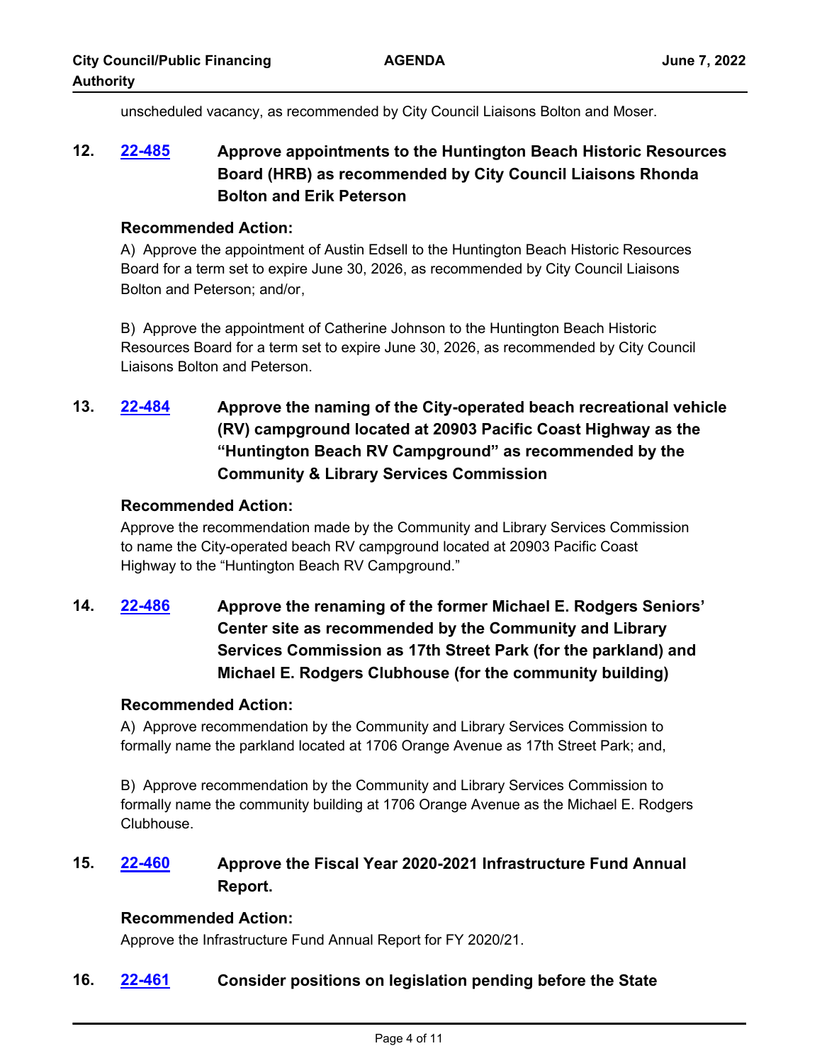unscheduled vacancy, as recommended by City Council Liaisons Bolton and Moser.

# **12. [22-485](http://huntingtonbeach.legistar.com/gateway.aspx?m=l&id=/matter.aspx?key=5597) Approve appointments to the Huntington Beach Historic Resources Board (HRB) as recommended by City Council Liaisons Rhonda Bolton and Erik Peterson**

### **Recommended Action:**

A) Approve the appointment of Austin Edsell to the Huntington Beach Historic Resources Board for a term set to expire June 30, 2026, as recommended by City Council Liaisons Bolton and Peterson; and/or,

B) Approve the appointment of Catherine Johnson to the Huntington Beach Historic Resources Board for a term set to expire June 30, 2026, as recommended by City Council Liaisons Bolton and Peterson.

**13. [22-484](http://huntingtonbeach.legistar.com/gateway.aspx?m=l&id=/matter.aspx?key=5596) Approve the naming of the City-operated beach recreational vehicle (RV) campground located at 20903 Pacific Coast Highway as the "Huntington Beach RV Campground" as recommended by the Community & Library Services Commission**

### **Recommended Action:**

Approve the recommendation made by the Community and Library Services Commission to name the City-operated beach RV campground located at 20903 Pacific Coast Highway to the "Huntington Beach RV Campground."

**14. [22-486](http://huntingtonbeach.legistar.com/gateway.aspx?m=l&id=/matter.aspx?key=5598) Approve the renaming of the former Michael E. Rodgers Seniors' Center site as recommended by the Community and Library Services Commission as 17th Street Park (for the parkland) and Michael E. Rodgers Clubhouse (for the community building)**

### **Recommended Action:**

A) Approve recommendation by the Community and Library Services Commission to formally name the parkland located at 1706 Orange Avenue as 17th Street Park; and,

B) Approve recommendation by the Community and Library Services Commission to formally name the community building at 1706 Orange Avenue as the Michael E. Rodgers Clubhouse.

# **15. [22-460](http://huntingtonbeach.legistar.com/gateway.aspx?m=l&id=/matter.aspx?key=5572) Approve the Fiscal Year 2020-2021 Infrastructure Fund Annual Report.**

## **Recommended Action:**

Approve the Infrastructure Fund Annual Report for FY 2020/21.

## **16. [22-461](http://huntingtonbeach.legistar.com/gateway.aspx?m=l&id=/matter.aspx?key=5573) Consider positions on legislation pending before the State**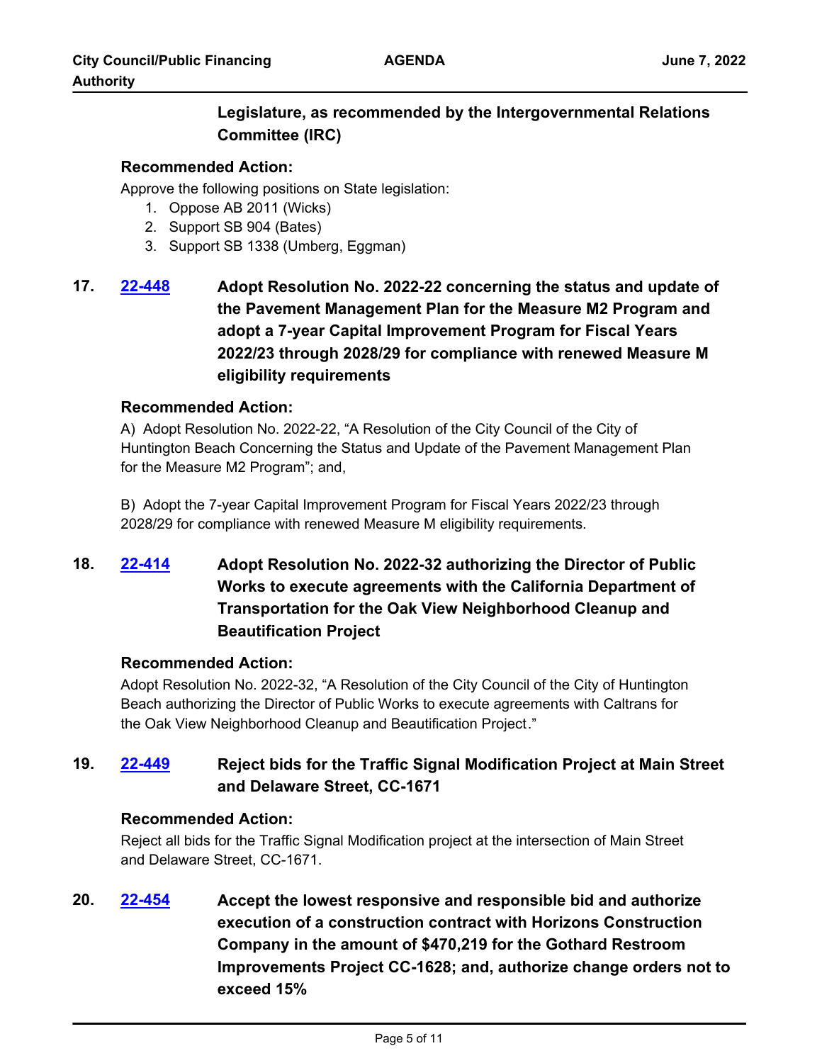# **Legislature, as recommended by the Intergovernmental Relations Committee (IRC)**

## **Recommended Action:**

Approve the following positions on State legislation:

- 1. Oppose AB 2011 (Wicks)
- 2. Support SB 904 (Bates)
- 3. Support SB 1338 (Umberg, Eggman)

# **17. [22-448](http://huntingtonbeach.legistar.com/gateway.aspx?m=l&id=/matter.aspx?key=5560) Adopt Resolution No. 2022-22 concerning the status and update of the Pavement Management Plan for the Measure M2 Program and adopt a 7-year Capital Improvement Program for Fiscal Years 2022/23 through 2028/29 for compliance with renewed Measure M eligibility requirements**

### **Recommended Action:**

A) Adopt Resolution No. 2022-22, "A Resolution of the City Council of the City of Huntington Beach Concerning the Status and Update of the Pavement Management Plan for the Measure M2 Program"; and,

B) Adopt the 7-year Capital Improvement Program for Fiscal Years 2022/23 through 2028/29 for compliance with renewed Measure M eligibility requirements.

# **18. [22-414](http://huntingtonbeach.legistar.com/gateway.aspx?m=l&id=/matter.aspx?key=5526) Adopt Resolution No. 2022-32 authorizing the Director of Public Works to execute agreements with the California Department of Transportation for the Oak View Neighborhood Cleanup and Beautification Project**

## **Recommended Action:**

Adopt Resolution No. 2022-32, "A Resolution of the City Council of the City of Huntington Beach authorizing the Director of Public Works to execute agreements with Caltrans for the Oak View Neighborhood Cleanup and Beautification Project."

# **19. [22-449](http://huntingtonbeach.legistar.com/gateway.aspx?m=l&id=/matter.aspx?key=5561) Reject bids for the Traffic Signal Modification Project at Main Street and Delaware Street, CC-1671**

## **Recommended Action:**

Reject all bids for the Traffic Signal Modification project at the intersection of Main Street and Delaware Street, CC-1671.

**20. [22-454](http://huntingtonbeach.legistar.com/gateway.aspx?m=l&id=/matter.aspx?key=5566) Accept the lowest responsive and responsible bid and authorize execution of a construction contract with Horizons Construction Company in the amount of \$470,219 for the Gothard Restroom Improvements Project CC-1628; and, authorize change orders not to exceed 15%**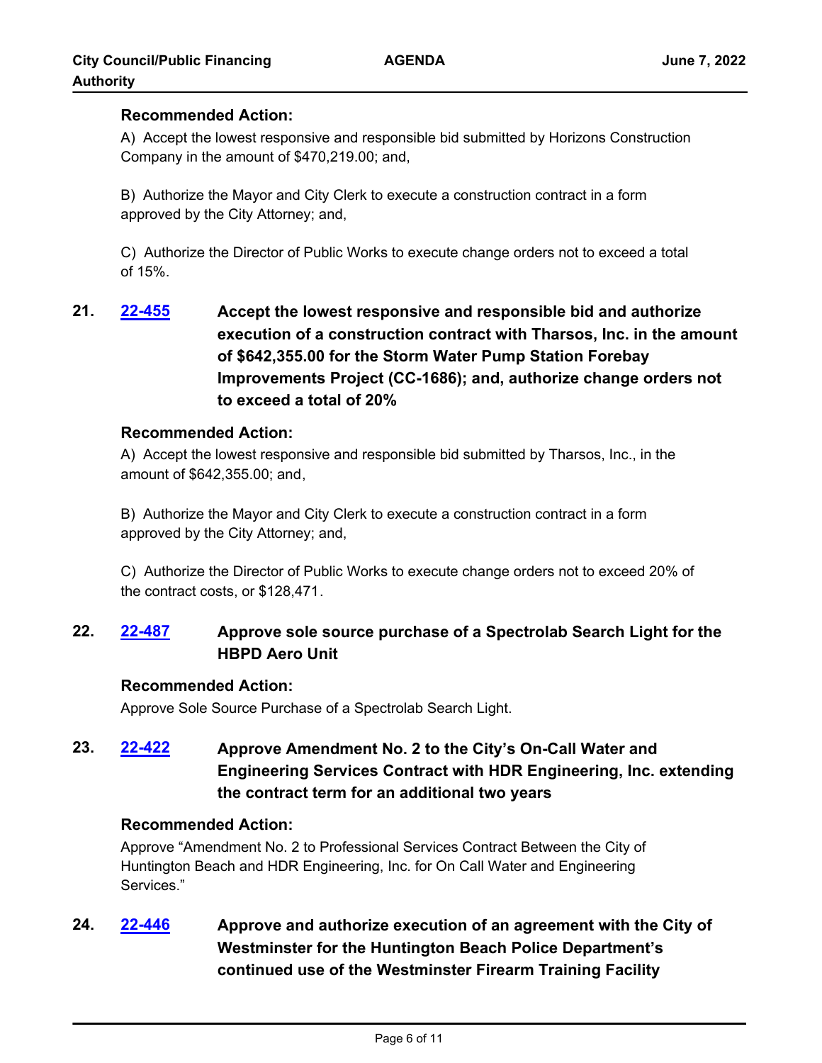### **Recommended Action:**

A) Accept the lowest responsive and responsible bid submitted by Horizons Construction Company in the amount of \$470,219.00; and,

B) Authorize the Mayor and City Clerk to execute a construction contract in a form approved by the City Attorney; and,

C) Authorize the Director of Public Works to execute change orders not to exceed a total of 15%.

**21. [22-455](http://huntingtonbeach.legistar.com/gateway.aspx?m=l&id=/matter.aspx?key=5567) Accept the lowest responsive and responsible bid and authorize execution of a construction contract with Tharsos, Inc. in the amount of \$642,355.00 for the Storm Water Pump Station Forebay Improvements Project (CC-1686); and, authorize change orders not to exceed a total of 20%**

### **Recommended Action:**

A) Accept the lowest responsive and responsible bid submitted by Tharsos, Inc., in the amount of \$642,355.00; and,

B) Authorize the Mayor and City Clerk to execute a construction contract in a form approved by the City Attorney; and,

C) Authorize the Director of Public Works to execute change orders not to exceed 20% of the contract costs, or \$128,471.

# **22. [22-487](http://huntingtonbeach.legistar.com/gateway.aspx?m=l&id=/matter.aspx?key=5599) Approve sole source purchase of a Spectrolab Search Light for the HBPD Aero Unit**

### **Recommended Action:**

Approve Sole Source Purchase of a Spectrolab Search Light.

**23. [22-422](http://huntingtonbeach.legistar.com/gateway.aspx?m=l&id=/matter.aspx?key=5534) Approve Amendment No. 2 to the City's On-Call Water and Engineering Services Contract with HDR Engineering, Inc. extending the contract term for an additional two years**

### **Recommended Action:**

Approve "Amendment No. 2 to Professional Services Contract Between the City of Huntington Beach and HDR Engineering, Inc. for On Call Water and Engineering Services."

**24. [22-446](http://huntingtonbeach.legistar.com/gateway.aspx?m=l&id=/matter.aspx?key=5558) Approve and authorize execution of an agreement with the City of Westminster for the Huntington Beach Police Department's continued use of the Westminster Firearm Training Facility**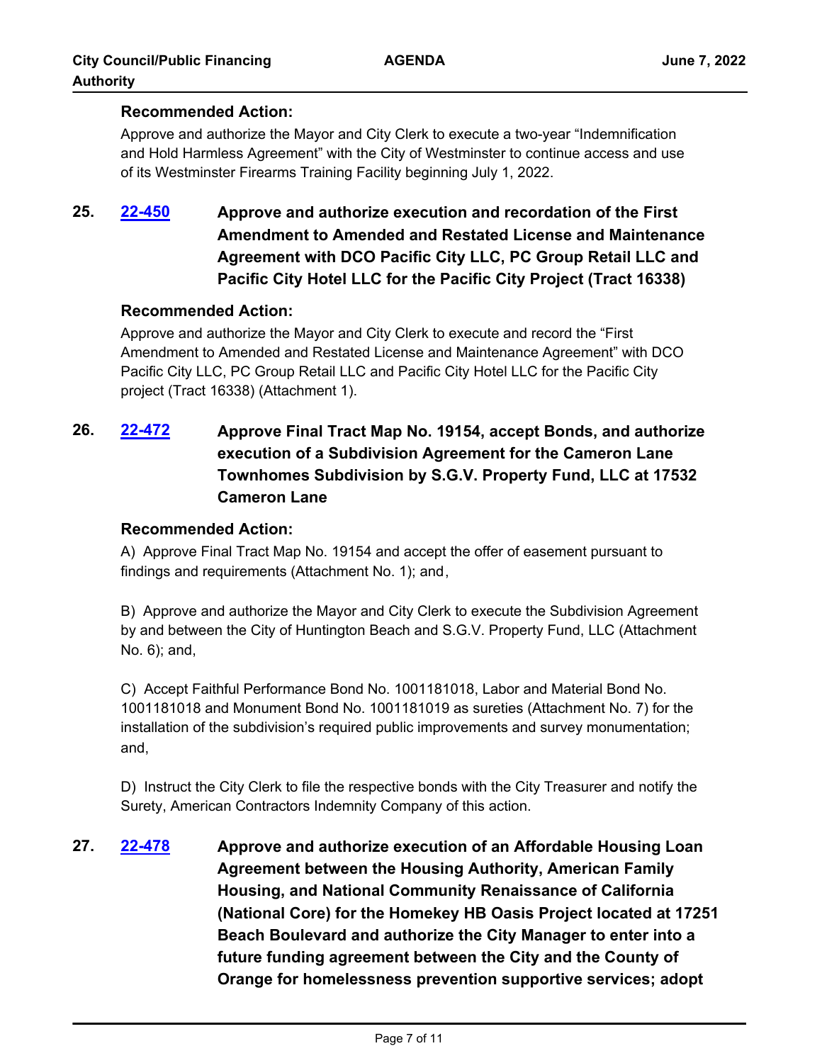## **Recommended Action:**

Approve and authorize the Mayor and City Clerk to execute a two-year "Indemnification and Hold Harmless Agreement" with the City of Westminster to continue access and use of its Westminster Firearms Training Facility beginning July 1, 2022.

**25. [22-450](http://huntingtonbeach.legistar.com/gateway.aspx?m=l&id=/matter.aspx?key=5562) Approve and authorize execution and recordation of the First Amendment to Amended and Restated License and Maintenance Agreement with DCO Pacific City LLC, PC Group Retail LLC and Pacific City Hotel LLC for the Pacific City Project (Tract 16338)**

### **Recommended Action:**

Approve and authorize the Mayor and City Clerk to execute and record the "First Amendment to Amended and Restated License and Maintenance Agreement" with DCO Pacific City LLC, PC Group Retail LLC and Pacific City Hotel LLC for the Pacific City project (Tract 16338) (Attachment 1).

**26. [22-472](http://huntingtonbeach.legistar.com/gateway.aspx?m=l&id=/matter.aspx?key=5584) Approve Final Tract Map No. 19154, accept Bonds, and authorize execution of a Subdivision Agreement for the Cameron Lane Townhomes Subdivision by S.G.V. Property Fund, LLC at 17532 Cameron Lane**

### **Recommended Action:**

A) Approve Final Tract Map No. 19154 and accept the offer of easement pursuant to findings and requirements (Attachment No. 1); and,

B) Approve and authorize the Mayor and City Clerk to execute the Subdivision Agreement by and between the City of Huntington Beach and S.G.V. Property Fund, LLC (Attachment No. 6); and,

C) Accept Faithful Performance Bond No. 1001181018, Labor and Material Bond No. 1001181018 and Monument Bond No. 1001181019 as sureties (Attachment No. 7) for the installation of the subdivision's required public improvements and survey monumentation; and,

D) Instruct the City Clerk to file the respective bonds with the City Treasurer and notify the Surety, American Contractors Indemnity Company of this action.

**27. [22-478](http://huntingtonbeach.legistar.com/gateway.aspx?m=l&id=/matter.aspx?key=5590) Approve and authorize execution of an Affordable Housing Loan Agreement between the Housing Authority, American Family Housing, and National Community Renaissance of California (National Core) for the Homekey HB Oasis Project located at 17251 Beach Boulevard and authorize the City Manager to enter into a future funding agreement between the City and the County of Orange for homelessness prevention supportive services; adopt**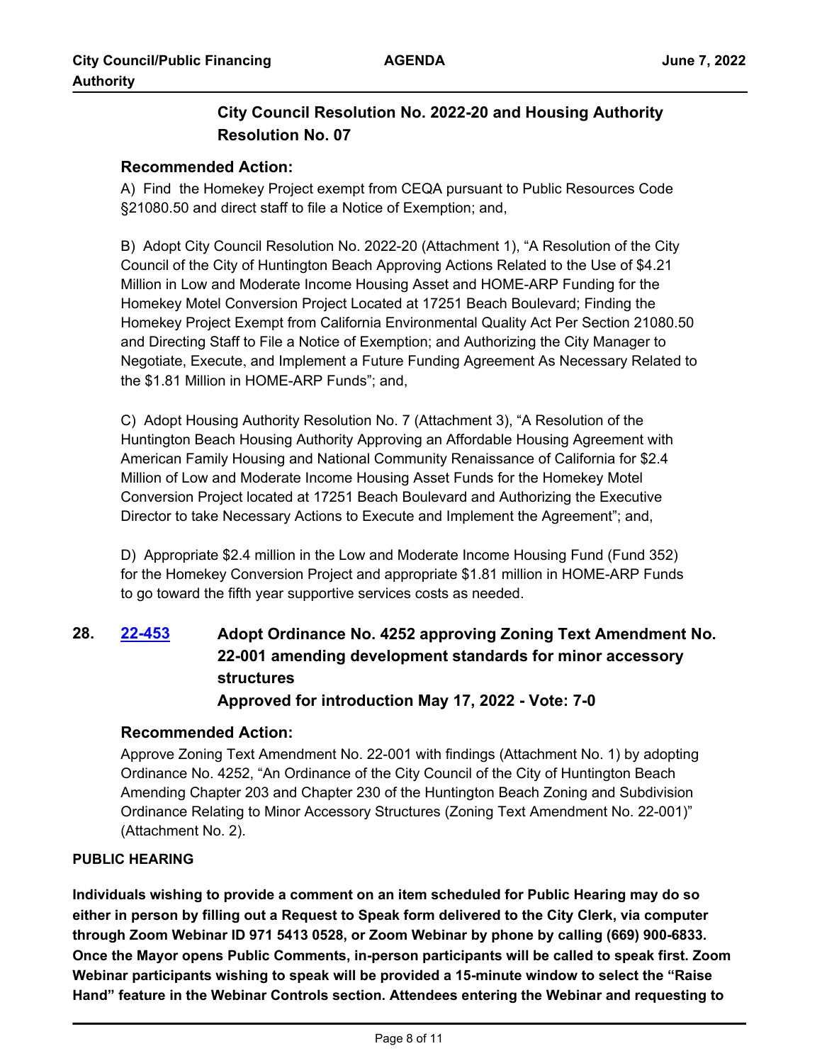# **City Council Resolution No. 2022-20 and Housing Authority Resolution No. 07**

## **Recommended Action:**

A) Find the Homekey Project exempt from CEQA pursuant to Public Resources Code §21080.50 and direct staff to file a Notice of Exemption; and,

B) Adopt City Council Resolution No. 2022-20 (Attachment 1), "A Resolution of the City Council of the City of Huntington Beach Approving Actions Related to the Use of \$4.21 Million in Low and Moderate Income Housing Asset and HOME-ARP Funding for the Homekey Motel Conversion Project Located at 17251 Beach Boulevard; Finding the Homekey Project Exempt from California Environmental Quality Act Per Section 21080.50 and Directing Staff to File a Notice of Exemption; and Authorizing the City Manager to Negotiate, Execute, and Implement a Future Funding Agreement As Necessary Related to the \$1.81 Million in HOME-ARP Funds"; and,

C) Adopt Housing Authority Resolution No. 7 (Attachment 3), "A Resolution of the Huntington Beach Housing Authority Approving an Affordable Housing Agreement with American Family Housing and National Community Renaissance of California for \$2.4 Million of Low and Moderate Income Housing Asset Funds for the Homekey Motel Conversion Project located at 17251 Beach Boulevard and Authorizing the Executive Director to take Necessary Actions to Execute and Implement the Agreement"; and,

D) Appropriate \$2.4 million in the Low and Moderate Income Housing Fund (Fund 352) for the Homekey Conversion Project and appropriate \$1.81 million in HOME-ARP Funds to go toward the fifth year supportive services costs as needed.

# **28. [22-453](http://huntingtonbeach.legistar.com/gateway.aspx?m=l&id=/matter.aspx?key=5565) Adopt Ordinance No. 4252 approving Zoning Text Amendment No. 22-001 amending development standards for minor accessory structures Approved for introduction May 17, 2022 - Vote: 7-0**

## **Recommended Action:**

Approve Zoning Text Amendment No. 22-001 with findings (Attachment No. 1) by adopting Ordinance No. 4252, "An Ordinance of the City Council of the City of Huntington Beach Amending Chapter 203 and Chapter 230 of the Huntington Beach Zoning and Subdivision Ordinance Relating to Minor Accessory Structures (Zoning Text Amendment No. 22-001)" (Attachment No. 2).

## **PUBLIC HEARING**

**Individuals wishing to provide a comment on an item scheduled for Public Hearing may do so either in person by filling out a Request to Speak form delivered to the City Clerk, via computer through Zoom Webinar ID 971 5413 0528, or Zoom Webinar by phone by calling (669) 900-6833. Once the Mayor opens Public Comments, in-person participants will be called to speak first. Zoom Webinar participants wishing to speak will be provided a 15-minute window to select the "Raise Hand" feature in the Webinar Controls section. Attendees entering the Webinar and requesting to**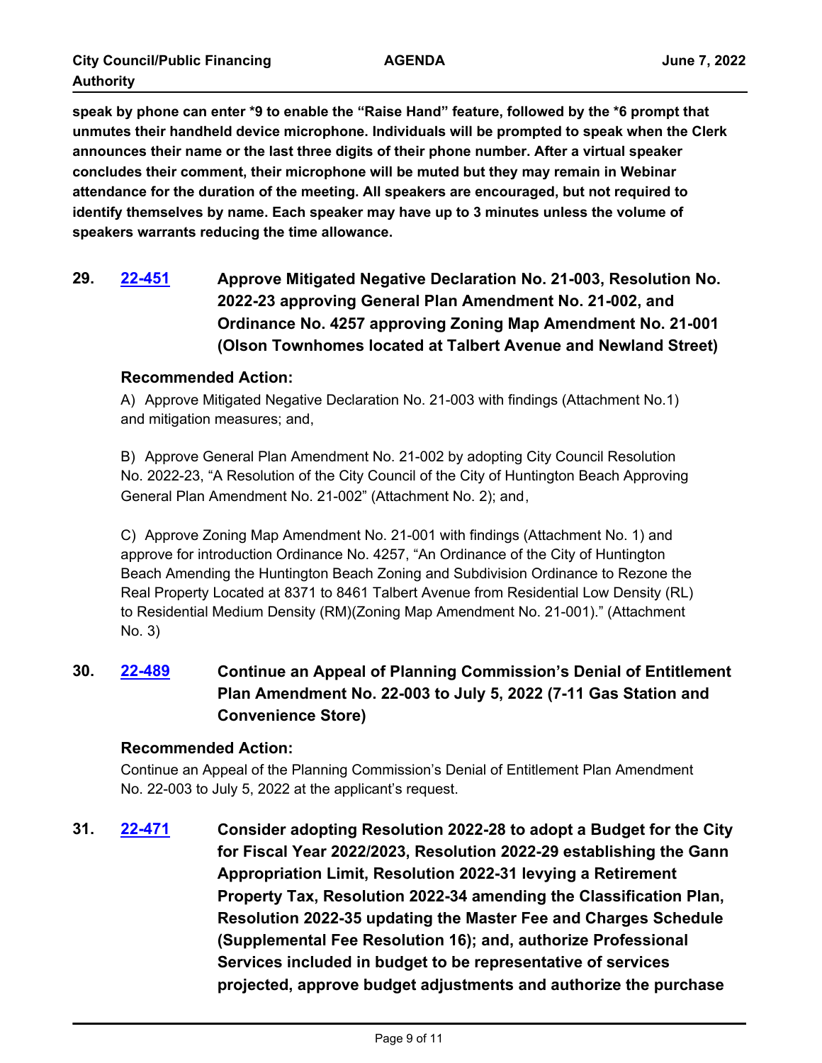**speak by phone can enter \*9 to enable the "Raise Hand" feature, followed by the \*6 prompt that unmutes their handheld device microphone. Individuals will be prompted to speak when the Clerk announces their name or the last three digits of their phone number. After a virtual speaker concludes their comment, their microphone will be muted but they may remain in Webinar attendance for the duration of the meeting. All speakers are encouraged, but not required to identify themselves by name. Each speaker may have up to 3 minutes unless the volume of speakers warrants reducing the time allowance.**

**29. [22-451](http://huntingtonbeach.legistar.com/gateway.aspx?m=l&id=/matter.aspx?key=5563) Approve Mitigated Negative Declaration No. 21-003, Resolution No. 2022-23 approving General Plan Amendment No. 21-002, and Ordinance No. 4257 approving Zoning Map Amendment No. 21-001 (Olson Townhomes located at Talbert Avenue and Newland Street)**

### **Recommended Action:**

A) Approve Mitigated Negative Declaration No. 21-003 with findings (Attachment No.1) and mitigation measures; and,

B) Approve General Plan Amendment No. 21-002 by adopting City Council Resolution No. 2022-23, "A Resolution of the City Council of the City of Huntington Beach Approving General Plan Amendment No. 21-002" (Attachment No. 2); and,

C) Approve Zoning Map Amendment No. 21-001 with findings (Attachment No. 1) and approve for introduction Ordinance No. 4257, "An Ordinance of the City of Huntington Beach Amending the Huntington Beach Zoning and Subdivision Ordinance to Rezone the Real Property Located at 8371 to 8461 Talbert Avenue from Residential Low Density (RL) to Residential Medium Density (RM)(Zoning Map Amendment No. 21-001)." (Attachment No. 3)

**30. [22-489](http://huntingtonbeach.legistar.com/gateway.aspx?m=l&id=/matter.aspx?key=5601) Continue an Appeal of Planning Commission's Denial of Entitlement Plan Amendment No. 22-003 to July 5, 2022 (7-11 Gas Station and Convenience Store)**

## **Recommended Action:**

Continue an Appeal of the Planning Commission's Denial of Entitlement Plan Amendment No. 22-003 to July 5, 2022 at the applicant's request.

**31. [22-471](http://huntingtonbeach.legistar.com/gateway.aspx?m=l&id=/matter.aspx?key=5583) Consider adopting Resolution 2022-28 to adopt a Budget for the City for Fiscal Year 2022/2023, Resolution 2022-29 establishing the Gann Appropriation Limit, Resolution 2022-31 levying a Retirement Property Tax, Resolution 2022-34 amending the Classification Plan, Resolution 2022-35 updating the Master Fee and Charges Schedule (Supplemental Fee Resolution 16); and, authorize Professional Services included in budget to be representative of services projected, approve budget adjustments and authorize the purchase**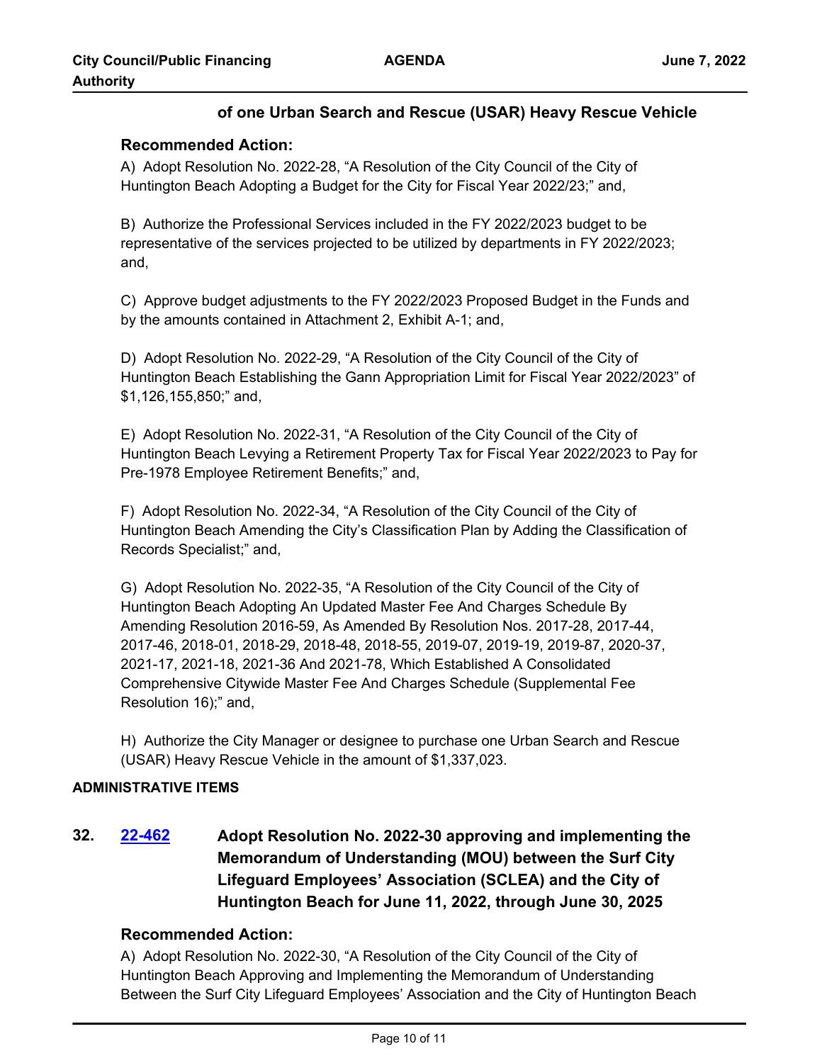## **of one Urban Search and Rescue (USAR) Heavy Rescue Vehicle**

## **Recommended Action:**

A) Adopt Resolution No. 2022-28, "A Resolution of the City Council of the City of Huntington Beach Adopting a Budget for the City for Fiscal Year 2022/23;" and,

B) Authorize the Professional Services included in the FY 2022/2023 budget to be representative of the services projected to be utilized by departments in FY 2022/2023; and,

C) Approve budget adjustments to the FY 2022/2023 Proposed Budget in the Funds and by the amounts contained in Attachment 2, Exhibit A-1; and,

D) Adopt Resolution No. 2022-29, "A Resolution of the City Council of the City of Huntington Beach Establishing the Gann Appropriation Limit for Fiscal Year 2022/2023" of \$1,126,155,850;" and,

E) Adopt Resolution No. 2022-31, "A Resolution of the City Council of the City of Huntington Beach Levying a Retirement Property Tax for Fiscal Year 2022/2023 to Pay for Pre-1978 Employee Retirement Benefits;" and,

F) Adopt Resolution No. 2022-34, "A Resolution of the City Council of the City of Huntington Beach Amending the City's Classification Plan by Adding the Classification of Records Specialist;" and,

G) Adopt Resolution No. 2022-35, "A Resolution of the City Council of the City of Huntington Beach Adopting An Updated Master Fee And Charges Schedule By Amending Resolution 2016-59, As Amended By Resolution Nos. 2017-28, 2017-44, 2017-46, 2018-01, 2018-29, 2018-48, 2018-55, 2019-07, 2019-19, 2019-87, 2020-37, 2021-17, 2021-18, 2021-36 And 2021-78, Which Established A Consolidated Comprehensive Citywide Master Fee And Charges Schedule (Supplemental Fee Resolution 16);" and,

H) Authorize the City Manager or designee to purchase one Urban Search and Rescue (USAR) Heavy Rescue Vehicle in the amount of \$1,337,023.

### **ADMINISTRATIVE ITEMS**

**32. [22-462](http://huntingtonbeach.legistar.com/gateway.aspx?m=l&id=/matter.aspx?key=5574) Adopt Resolution No. 2022-30 approving and implementing the Memorandum of Understanding (MOU) between the Surf City Lifeguard Employees' Association (SCLEA) and the City of Huntington Beach for June 11, 2022, through June 30, 2025**

## **Recommended Action:**

A) Adopt Resolution No. 2022-30, "A Resolution of the City Council of the City of Huntington Beach Approving and Implementing the Memorandum of Understanding Between the Surf City Lifeguard Employees' Association and the City of Huntington Beach